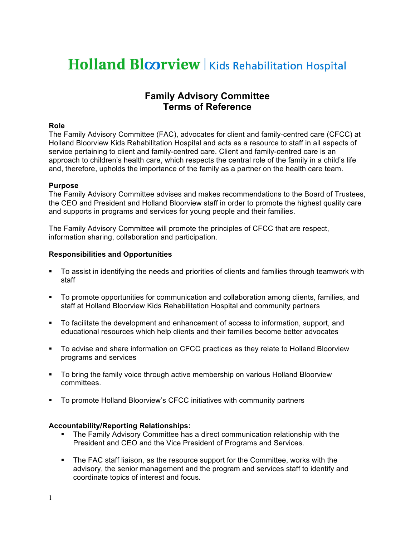# **Holland Bloorview | Kids Rehabilitation Hospital**

## **Family Advisory Committee Terms of Reference**

## **Role**

The Family Advisory Committee (FAC), advocates for client and family-centred care (CFCC) at Holland Bloorview Kids Rehabilitation Hospital and acts as a resource to staff in all aspects of service pertaining to client and family-centred care. Client and family-centred care is an approach to children's health care, which respects the central role of the family in a child's life and, therefore, upholds the importance of the family as a partner on the health care team.

#### **Purpose**

The Family Advisory Committee advises and makes recommendations to the Board of Trustees, the CEO and President and Holland Bloorview staff in order to promote the highest quality care and supports in programs and services for young people and their families.

The Family Advisory Committee will promote the principles of CFCC that are respect, information sharing, collaboration and participation.

## **Responsibilities and Opportunities**

- To assist in identifying the needs and priorities of clients and families through teamwork with staff
- To promote opportunities for communication and collaboration among clients, families, and staff at Holland Bloorview Kids Rehabilitation Hospital and community partners
- To facilitate the development and enhancement of access to information, support, and educational resources which help clients and their families become better advocates
- To advise and share information on CFCC practices as they relate to Holland Bloorview programs and services
- To bring the family voice through active membership on various Holland Bloorview committees.
- To promote Holland Bloorview's CFCC initiatives with community partners

## **Accountability/Reporting Relationships:**

- The Family Advisory Committee has a direct communication relationship with the President and CEO and the Vice President of Programs and Services.
- The FAC staff liaison, as the resource support for the Committee, works with the advisory, the senior management and the program and services staff to identify and coordinate topics of interest and focus.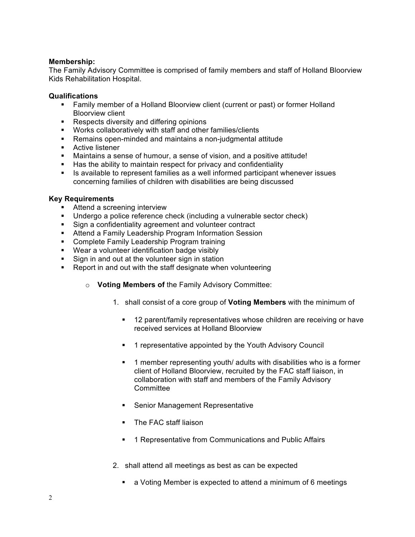## **Membership:**

The Family Advisory Committee is comprised of family members and staff of Holland Bloorview Kids Rehabilitation Hospital.

#### **Qualifications**

- Family member of a Holland Bloorview client (current or past) or former Holland Bloorview client
- Respects diversity and differing opinions
- Works collaboratively with staff and other families/clients
- Remains open-minded and maintains a non-judgmental attitude
- **Active listener**
- Maintains a sense of humour, a sense of vision, and a positive attitude!
- Has the ability to maintain respect for privacy and confidentiality
- **IF** Is available to represent families as a well informed participant whenever issues concerning families of children with disabilities are being discussed

#### **Key Requirements**

- **Attend a screening interview**
- Undergo a police reference check (including a vulnerable sector check)
- **Sign a confidentiality agreement and volunteer contract**
- **Attend a Family Leadership Program Information Session**
- **Complete Family Leadership Program training**
- **Wear a volunteer identification badge visibly**
- Sign in and out at the volunteer sign in station
- Report in and out with the staff designate when volunteering
	- o **Voting Members of** the Family Advisory Committee:
		- 1. shall consist of a core group of **Voting Members** with the minimum of
			- **12 parent/family representatives whose children are receiving or have** received services at Holland Bloorview
			- 1 representative appointed by the Youth Advisory Council
			- **1** member representing youth/ adults with disabilities who is a former client of Holland Bloorview, recruited by the FAC staff liaison, in collaboration with staff and members of the Family Advisory **Committee**
			- **Senior Management Representative**
			- The FAC staff liaison
			- 1 Representative from Communications and Public Affairs
		- 2. shall attend all meetings as best as can be expected
			- a Voting Member is expected to attend a minimum of 6 meetings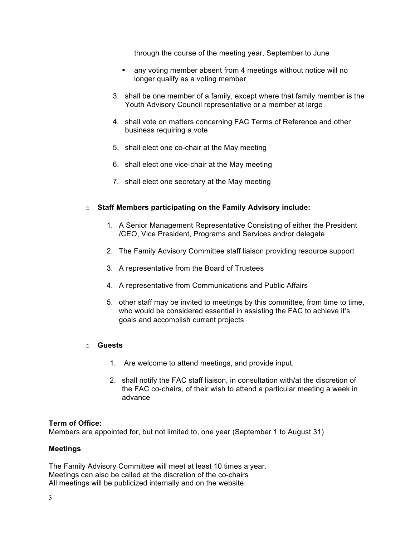through the course of the meeting year, September to June

- any voting member absent from 4 meetings without notice will no longer qualify as a voting member
- 3. shall be one member of a family, except where that family member is the Youth Advisory Council representative or a member at large
- 4. shall vote on matters concerning FAC Terms of Reference and other business requiring a vote
- 5. shall elect one co-chair at the May meeting
- 6. shall elect one vice-chair at the May meeting
- 7. shall elect one secretary at the May meeting

## o **Staff Members participating on the Family Advisory include:**

- 1. A Senior Management Representative Consisting of either the President /CEO, Vice President, Programs and Services and/or delegate
- 2. The Family Advisory Committee staff liaison providing resource support
- 3. A representative from the Board of Trustees
- 4. A representative from Communications and Public Affairs
- 5. other staff may be invited to meetings by this committee, from time to time, who would be considered essential in assisting the FAC to achieve it's goals and accomplish current projects
- o **Guests**
	- 1. Are welcome to attend meetings, and provide input.
	- 2. shall notify the FAC staff liaison, in consultation with/at the discretion of the FAC co-chairs, of their wish to attend a particular meeting a week in advance

#### **Term of Office:**

Members are appointed for, but not limited to, one year (September 1 to August 31)

#### **Meetings**

The Family Advisory Committee will meet at least 10 times a year. Meetings can also be called at the discretion of the co-chairs All meetings will be publicized internally and on the website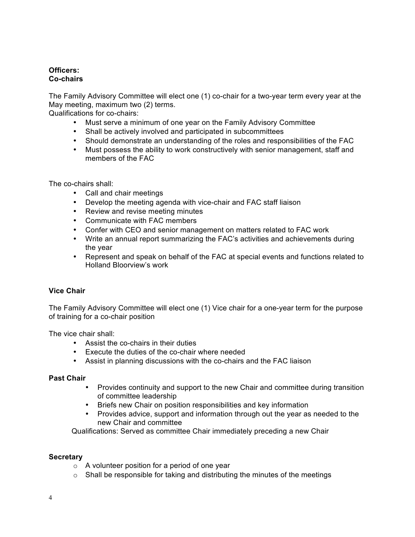## **Officers: Co-chairs**

The Family Advisory Committee will elect one (1) co-chair for a two-year term every year at the May meeting, maximum two (2) terms.

Qualifications for co-chairs:

- Must serve a minimum of one year on the Family Advisory Committee
- Shall be actively involved and participated in subcommittees
- Should demonstrate an understanding of the roles and responsibilities of the FAC
- Must possess the ability to work constructively with senior management, staff and members of the FAC

The co-chairs shall:

- Call and chair meetings
- Develop the meeting agenda with vice-chair and FAC staff liaison
- Review and revise meeting minutes
- Communicate with FAC members
- Confer with CEO and senior management on matters related to FAC work
- Write an annual report summarizing the FAC's activities and achievements during the year
- Represent and speak on behalf of the FAC at special events and functions related to Holland Bloorview's work

## **Vice Chair**

The Family Advisory Committee will elect one (1) Vice chair for a one-year term for the purpose of training for a co-chair position

The vice chair shall:

- Assist the co-chairs in their duties
- Execute the duties of the co-chair where needed
- Assist in planning discussions with the co-chairs and the FAC liaison

## **Past Chair**

- Provides continuity and support to the new Chair and committee during transition of committee leadership
- Briefs new Chair on position responsibilities and key information
- Provides advice, support and information through out the year as needed to the new Chair and committee

Qualifications: Served as committee Chair immediately preceding a new Chair

## **Secretary**

- o A volunteer position for a period of one year
- $\circ$  Shall be responsible for taking and distributing the minutes of the meetings